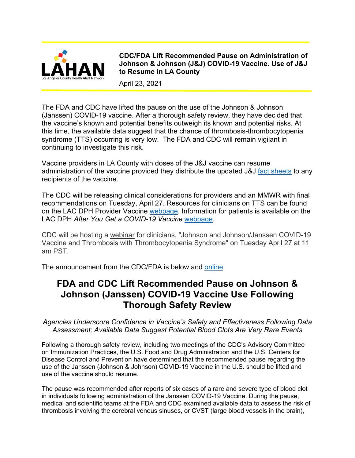

**CDC/FDA Lift Recommended Pause on Administration of Johnson & Johnson (J&J) COVID-19 Vaccine. Use of J&J to Resume in LA County**

April 23, 2021

The FDA and CDC have lifted the pause on the use of the Johnson & Johnson (Janssen) COVID-19 vaccine. After a thorough safety review, they have decided that the vaccine's known and potential benefits outweigh its known and potential risks. At this time, the available data suggest that the chance of thrombosis-thrombocytopenia syndrome (TTS) occurring is very low. The FDA and CDC will remain vigilant in continuing to investigate this risk.

Vaccine providers in LA County with doses of the J&J vaccine can resume administration of the vaccine provided they distribute the updated J&J [fact sheets](https://www.fda.gov/media/146305/download) to any recipients of the vaccine.

The CDC will be releasing clinical considerations for providers and an MMWR with final recommendations on Tuesday, April 27. Resources for clinicians on TTS can be found on the LAC DPH Provider Vaccine [webpage.](http://publichealth.lacounty.gov/acd/ncorona2019/vaccine) Information for patients is available on the LAC DPH *After You Get a COVID-19 Vaccine* [webpage.](http://publichealth.lacounty.gov/acd/ncorona2019/vaccine/AfterVaccination/)

CDC will be hosting a [webinar](https://emergency.cdc.gov/coca/calls/2021/callinfo_042721.asp) for clinicians, "Johnson and Johnson/Janssen COVID-19 Vaccine and Thrombosis with Thrombocytopenia Syndrome" on Tuesday April 27 at 11 am PST.

The announcement from the CDC/FDA is below and [online](https://content.govdelivery.com/accounts/USFDA/bulletins/2d07b6b)

# **FDA and CDC Lift Recommended Pause on Johnson & Johnson (Janssen) COVID-19 Vaccine Use Following Thorough Safety Review**

*Agencies Underscore Confidence in Vaccine's Safety and Effectiveness Following Data Assessment; Available Data Suggest Potential Blood Clots Are Very Rare Events*

Following a thorough safety review, including two meetings of the CDC's Advisory Committee on Immunization Practices, the U.S. Food and Drug Administration and the U.S. Centers for Disease Control and Prevention have determined that the recommended pause regarding the use of the Janssen (Johnson & Johnson) COVID-19 Vaccine in the U.S. should be lifted and use of the vaccine should resume.

The pause was recommended after reports of six cases of a rare and severe type of blood clot in individuals following administration of the Janssen COVID-19 Vaccine. During the pause, medical and scientific teams at the FDA and CDC examined available data to assess the risk of thrombosis involving the cerebral venous sinuses, or CVST (large blood vessels in the brain),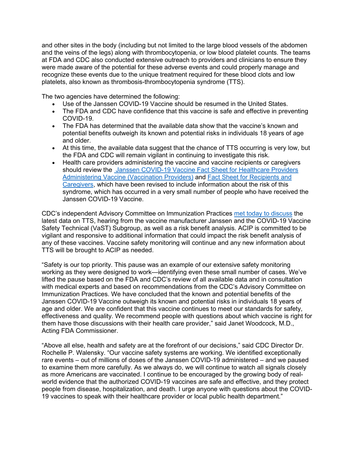and other sites in the body (including but not limited to the large blood vessels of the abdomen and the veins of the legs) along with thrombocytopenia, or low blood platelet counts. The teams at FDA and CDC also conducted extensive outreach to providers and clinicians to ensure they were made aware of the potential for these adverse events and could properly manage and recognize these events due to the unique treatment required for these blood clots and low platelets, also known as thrombosis-thrombocytopenia syndrome (TTS).

The two agencies have determined the following:

- Use of the Janssen COVID-19 Vaccine should be resumed in the United States.
- The FDA and CDC have confidence that this vaccine is safe and effective in preventing COVID-19.
- The FDA has determined that the available data show that the vaccine's known and potential benefits outweigh its known and potential risks in individuals 18 years of age and older.
- At this time, the available data suggest that the chance of TTS occurring is very low, but the FDA and CDC will remain vigilant in continuing to investigate this risk.
- Health care providers administering the vaccine and vaccine recipients or caregivers should review the [Janssen COVID-19 Vaccine Fact Sheet for Healthcare Providers](https://www.fda.gov/media/146304/download)  [Administering Vaccine \(Vaccination Providers\)](https://www.fda.gov/media/146304/download) and [Fact Sheet for Recipients and](https://www.fda.gov/media/146305/download)  [Caregivers,](https://www.fda.gov/media/146305/download) which have been revised to include information about the risk of this syndrome, which has occurred in a very small number of people who have received the Janssen COVID-19 Vaccine.

CDC's independent Advisory Committee on Immunization Practices [met today to discuss](https://www.cdc.gov/vaccines/acip/meetings/slides-2021-04-23.html) the latest data on TTS, hearing from the vaccine manufacturer Janssen and the COVID-19 Vaccine Safety Technical (VaST) Subgroup, as well as a risk benefit analysis. ACIP is committed to be vigilant and responsive to additional information that could impact the risk benefit analysis of any of these vaccines. Vaccine safety monitoring will continue and any new information about TTS will be brought to ACIP as needed.

"Safety is our top priority. This pause was an example of our extensive safety monitoring working as they were designed to work—identifying even these small number of cases. We've lifted the pause based on the FDA and CDC's review of all available data and in consultation with medical experts and based on recommendations from the CDC's Advisory Committee on Immunization Practices. We have concluded that the known and potential benefits of the Janssen COVID-19 Vaccine outweigh its known and potential risks in individuals 18 years of age and older. We are confident that this vaccine continues to meet our standards for safety, effectiveness and quality. We recommend people with questions about which vaccine is right for them have those discussions with their health care provider," said Janet Woodcock, M.D., Acting FDA Commissioner.

"Above all else, health and safety are at the forefront of our decisions," said CDC Director Dr. Rochelle P. Walensky. "Our vaccine safety systems are working. We identified exceptionally rare events – out of millions of doses of the Janssen COVID-19 administered – and we paused to examine them more carefully. As we always do, we will continue to watch all signals closely as more Americans are vaccinated. I continue to be encouraged by the growing body of realworld evidence that the authorized COVID-19 vaccines are safe and effective, and they protect people from disease, hospitalization, and death. I urge anyone with questions about the COVID-19 vaccines to speak with their healthcare provider or local public health department."